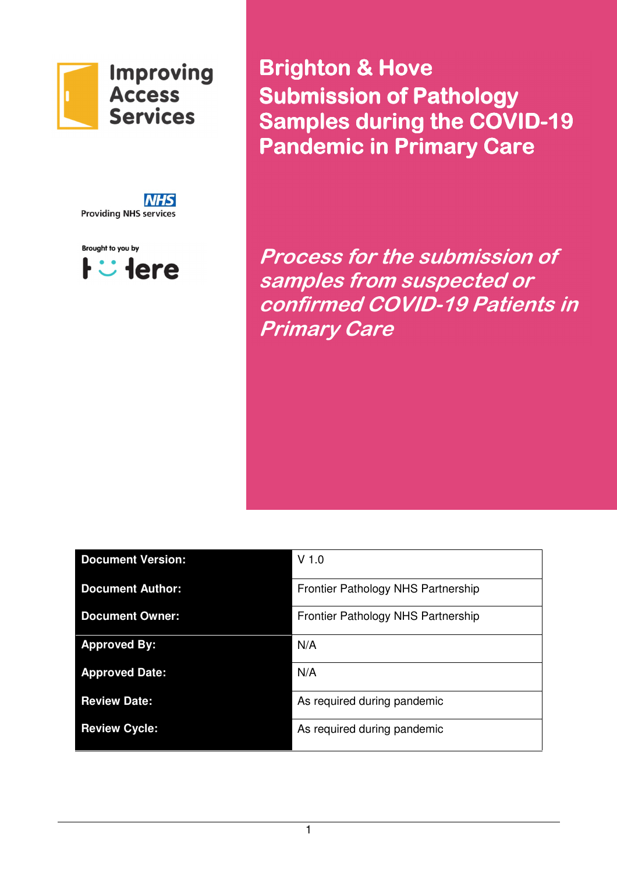

**NHS Providing NHS services** 



**Brighton & Hove** Submission of Pathology Samples during the COVID-19 **Pandemic in Primary Care** 

Process for the submission of samples from suspected or confirmed COVID-19 Patients in Primary Care

| <b>Document Version:</b> | $V$ 1.0                            |
|--------------------------|------------------------------------|
| <b>Document Author:</b>  | Frontier Pathology NHS Partnership |
| <b>Document Owner:</b>   | Frontier Pathology NHS Partnership |
| <b>Approved By:</b>      | N/A                                |
| <b>Approved Date:</b>    | N/A                                |
| <b>Review Date:</b>      | As required during pandemic        |
| <b>Review Cycle:</b>     | As required during pandemic        |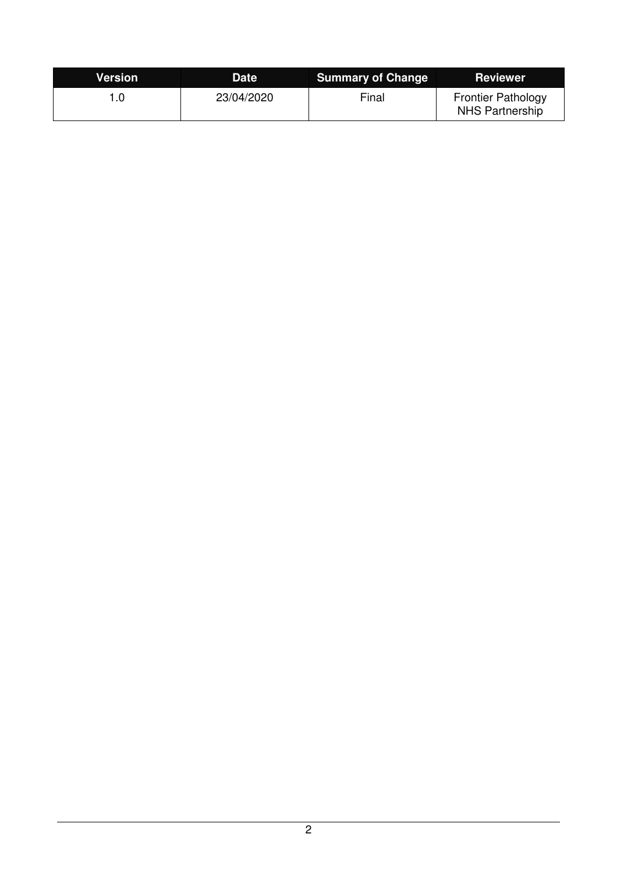| Version | <b>Date</b> | <b>Summary of Change</b> | <b>Reviewer</b>                                     |
|---------|-------------|--------------------------|-----------------------------------------------------|
| .0      | 23/04/2020  | Final                    | <b>Frontier Pathology</b><br><b>NHS Partnership</b> |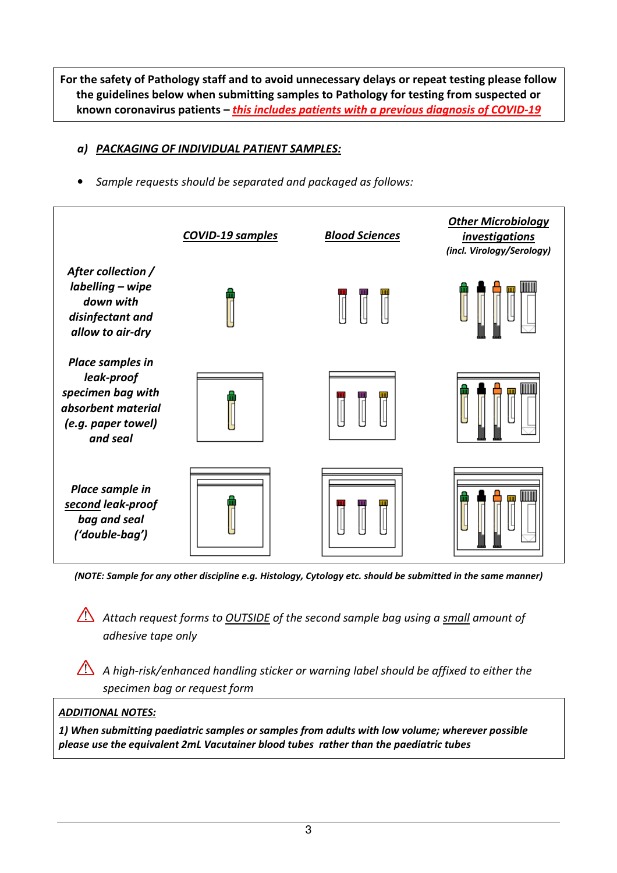For the safety of Pathology staff and to avoid unnecessary delays or repeat testing please follow the guidelines below when submitting samples to Pathology for testing from suspected or known coronavirus patients  $-$  this includes patients with a previous diagnosis of COVID-19

## a) PACKAGING OF INDIVIDUAL PATIENT SAMPLES:

• Sample requests should be separated and packaged as follows:



(NOTE: Sample for any other discipline e.g. Histology, Cytology etc. should be submitted in the same manner)

Attach request forms to **OUTSIDE** of the second sample bag using a small amount of adhesive tape only

A high-risk/enhanced handling sticker or warning label should be affixed to either the specimen bag or request form

## ADDITIONAL NOTES:

1) When submitting paediatric samples or samples from adults with low volume; wherever possible please use the equivalent 2mL Vacutainer blood tubes rather than the paediatric tubes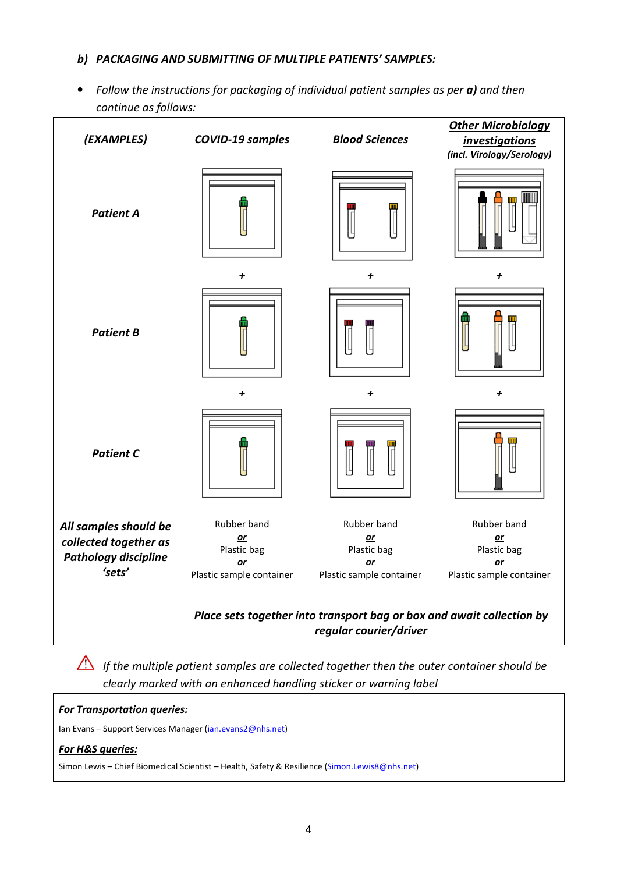### b) PACKAGING AND SUBMITTING OF MULTIPLE PATIENTS' SAMPLES:

• Follow the instructions for packaging of individual patient samples as per a) and then continue as follows:

| (EXAMPLES)                                           | <b>COVID-19 samples</b>                   | <b>Blood Sciences</b>                                                                           | <b>Other Microbiology</b><br><i>investigations</i><br>(incl. Virology/Serology) |
|------------------------------------------------------|-------------------------------------------|-------------------------------------------------------------------------------------------------|---------------------------------------------------------------------------------|
| <b>Patient A</b>                                     |                                           | 鬥                                                                                               |                                                                                 |
|                                                      | $\ddot{}$                                 | $\overline{t}$                                                                                  | $\overline{1}$                                                                  |
| <b>Patient B</b>                                     |                                           |                                                                                                 |                                                                                 |
|                                                      | +                                         | +                                                                                               | +                                                                               |
| <b>Patient C</b>                                     |                                           |                                                                                                 |                                                                                 |
| All samples should be                                | Rubber band                               | Rubber band                                                                                     | Rubber band                                                                     |
| collected together as<br><b>Pathology discipline</b> | $or$<br>Plastic bag                       | $or$<br>Plastic bag                                                                             | $or$<br>Plastic bag                                                             |
| 'sets'                                               | $\mathbf{or}$<br>Plastic sample container | $or$<br>Plastic sample container                                                                | $or$<br>Plastic sample container                                                |
|                                                      |                                           | Place sets together into transport bag or box and await collection by<br>regular courier/driver |                                                                                 |

If the multiple patient samples are collected together then the outer container should be clearly marked with an enhanced handling sticker or warning label

#### **For Transportation queries:**

Ian Evans - Support Services Manager (*ian.evans2@nhs.net*)

#### For H&S queries:

Simon Lewis - Chief Biomedical Scientist - Health, Safety & Resilience (Simon.Lewis8@nhs.net)